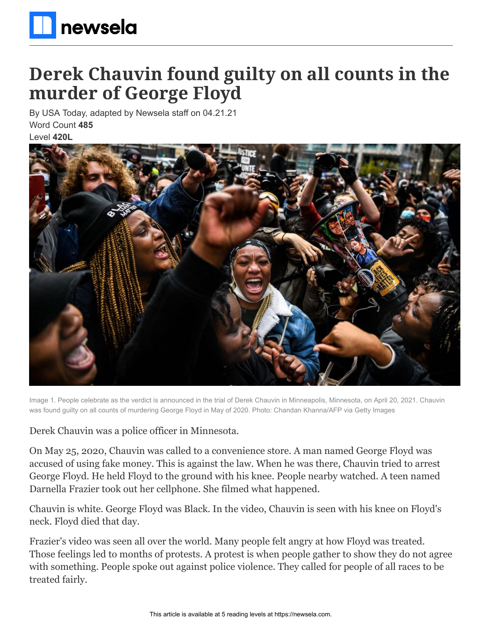

## **Derek Chauvin found guilty on all counts in the murder of George Floyd**

By USA Today, adapted by Newsela staff on 04.21.21 Word Count **485** Level **420L**



Image 1. People celebrate as the verdict is announced in the trial of Derek Chauvin in Minneapolis, Minnesota, on April 20, 2021. Chauvin was found guilty on all counts of murdering George Floyd in May of 2020. Photo: Chandan Khanna/AFP via Getty Images

Derek Chauvin was a police officer in Minnesota.

On May 25, 2020, Chauvin was called to a convenience store. A man named George Floyd was accused of using fake money. This is against the law. When he was there, Chauvin tried to arrest George Floyd. He held Floyd to the ground with his knee. People nearby watched. A teen named Darnella Frazier took out her cellphone. She filmed what happened.

Chauvin is white. George Floyd was Black. In the video, Chauvin is seen with his knee on Floyd's neck. Floyd died that day.

Frazier's video was seen all over the world. Many people felt angry at how Floyd was treated. Those feelings led to months of protests. A protest is when people gather to show they do not agree with something. People spoke out against police violence. They called for people of all races to be treated fairly.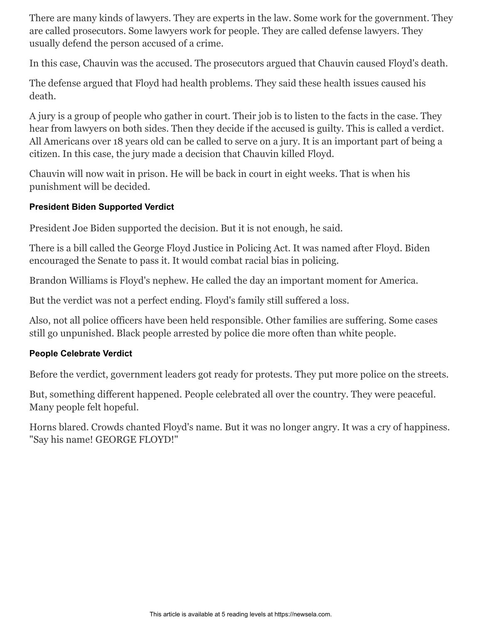There are many kinds of lawyers. They are experts in the law. Some work for the government. They are called prosecutors. Some lawyers work for people. They are called defense lawyers. They usually defend the person accused of a crime.

In this case, Chauvin was the accused. The prosecutors argued that Chauvin caused Floyd's death.

The defense argued that Floyd had health problems. They said these health issues caused his death.

A jury is a group of people who gather in court. Their job is to listen to the facts in the case. They hear from lawyers on both sides. Then they decide if the accused is guilty. This is called a verdict. All Americans over 18 years old can be called to serve on a jury. It is an important part of being a citizen. In this case, the jury made a decision that Chauvin killed Floyd.

Chauvin will now wait in prison. He will be back in court in eight weeks. That is when his punishment will be decided.

## **President Biden Supported Verdict**

President Joe Biden supported the decision. But it is not enough, he said.

There is a bill called the George Floyd Justice in Policing Act. It was named after Floyd. Biden encouraged the Senate to pass it. It would combat racial bias in policing.

Brandon Williams is Floyd's nephew. He called the day an important moment for America.

But the verdict was not a perfect ending. Floyd's family still suffered a loss.

Also, not all police officers have been held responsible. Other families are suffering. Some cases still go unpunished. Black people arrested by police die more often than white people.

## **People Celebrate Verdict**

Before the verdict, government leaders got ready for protests. They put more police on the streets.

But, something different happened. People celebrated all over the country. They were peaceful. Many people felt hopeful.

Horns blared. Crowds chanted Floyd's name. But it was no longer angry. It was a cry of happiness. "Say his name! GEORGE FLOYD!"